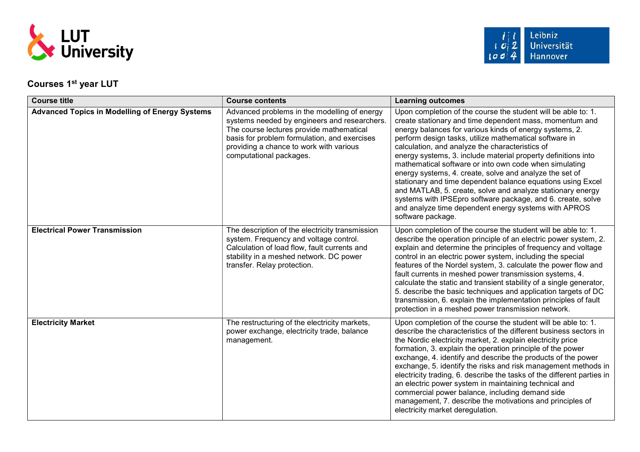

## Courses 1<sup>st</sup> year LUT

| <b>Course title</b>                                   | <b>Course contents</b>                                                                                                                                                                                                                                         | <b>Learning outcomes</b>                                                                                                                                                                                                                                                                                                                                                                                                                                                                                                                                                                                                                                                                                                                                        |
|-------------------------------------------------------|----------------------------------------------------------------------------------------------------------------------------------------------------------------------------------------------------------------------------------------------------------------|-----------------------------------------------------------------------------------------------------------------------------------------------------------------------------------------------------------------------------------------------------------------------------------------------------------------------------------------------------------------------------------------------------------------------------------------------------------------------------------------------------------------------------------------------------------------------------------------------------------------------------------------------------------------------------------------------------------------------------------------------------------------|
| <b>Advanced Topics in Modelling of Energy Systems</b> | Advanced problems in the modelling of energy<br>systems needed by engineers and researchers.<br>The course lectures provide mathematical<br>basis for problem formulation, and exercises<br>providing a chance to work with various<br>computational packages. | Upon completion of the course the student will be able to: 1.<br>create stationary and time dependent mass, momentum and<br>energy balances for various kinds of energy systems, 2.<br>perform design tasks, utilize mathematical software in<br>calculation, and analyze the characteristics of<br>energy systems, 3. include material property definitions into<br>mathematical software or into own code when simulating<br>energy systems, 4. create, solve and analyze the set of<br>stationary and time dependent balance equations using Excel<br>and MATLAB, 5. create, solve and analyze stationary energy<br>systems with IPSEpro software package, and 6. create, solve<br>and analyze time dependent energy systems with APROS<br>software package. |
| <b>Electrical Power Transmission</b>                  | The description of the electricity transmission<br>system. Frequency and voltage control.<br>Calculation of load flow, fault currents and<br>stability in a meshed network. DC power<br>transfer. Relay protection.                                            | Upon completion of the course the student will be able to: 1.<br>describe the operation principle of an electric power system, 2.<br>explain and determine the principles of frequency and voltage<br>control in an electric power system, including the special<br>features of the Nordel system, 3. calculate the power flow and<br>fault currents in meshed power transmission systems, 4.<br>calculate the static and transient stability of a single generator,<br>5. describe the basic techniques and application targets of DC<br>transmission, 6. explain the implementation principles of fault<br>protection in a meshed power transmission network.                                                                                                 |
| <b>Electricity Market</b>                             | The restructuring of the electricity markets,<br>power exchange, electricity trade, balance<br>management.                                                                                                                                                     | Upon completion of the course the student will be able to: 1.<br>describe the characteristics of the different business sectors in<br>the Nordic electricity market, 2. explain electricity price<br>formation, 3. explain the operation principle of the power<br>exchange, 4. identify and describe the products of the power<br>exchange, 5. identify the risks and risk management methods in<br>electricity trading, 6. describe the tasks of the different parties in<br>an electric power system in maintaining technical and<br>commercial power balance, including demand side<br>management, 7. describe the motivations and principles of<br>electricity market deregulation.                                                                        |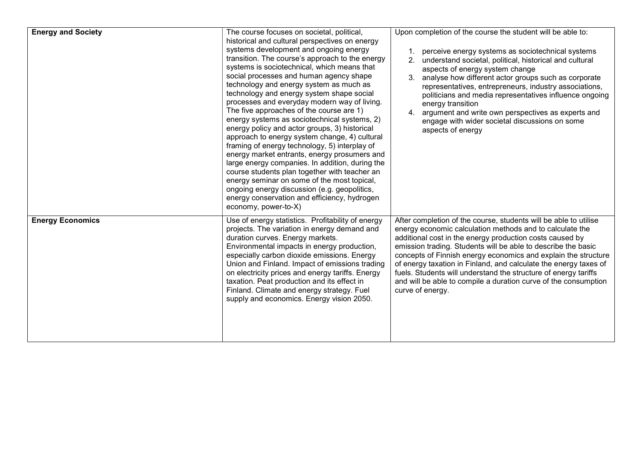| <b>Energy and Society</b> | The course focuses on societal, political,<br>historical and cultural perspectives on energy<br>systems development and ongoing energy<br>transition. The course's approach to the energy<br>systems is sociotechnical, which means that<br>social processes and human agency shape<br>technology and energy system as much as<br>technology and energy system shape social<br>processes and everyday modern way of living.<br>The five approaches of the course are 1)<br>energy systems as sociotechnical systems, 2)<br>energy policy and actor groups, 3) historical<br>approach to energy system change, 4) cultural<br>framing of energy technology, 5) interplay of<br>energy market entrants, energy prosumers and<br>large energy companies. In addition, during the<br>course students plan together with teacher an<br>energy seminar on some of the most topical,<br>ongoing energy discussion (e.g. geopolitics,<br>energy conservation and efficiency, hydrogen<br>economy, power-to-X) | Upon completion of the course the student will be able to:<br>perceive energy systems as sociotechnical systems<br>2.<br>understand societal, political, historical and cultural<br>aspects of energy system change<br>analyse how different actor groups such as corporate<br>representatives, entrepreneurs, industry associations,<br>politicians and media representatives influence ongoing<br>energy transition<br>argument and write own perspectives as experts and<br>4.<br>engage with wider societal discussions on some<br>aspects of energy  |
|---------------------------|-------------------------------------------------------------------------------------------------------------------------------------------------------------------------------------------------------------------------------------------------------------------------------------------------------------------------------------------------------------------------------------------------------------------------------------------------------------------------------------------------------------------------------------------------------------------------------------------------------------------------------------------------------------------------------------------------------------------------------------------------------------------------------------------------------------------------------------------------------------------------------------------------------------------------------------------------------------------------------------------------------|-----------------------------------------------------------------------------------------------------------------------------------------------------------------------------------------------------------------------------------------------------------------------------------------------------------------------------------------------------------------------------------------------------------------------------------------------------------------------------------------------------------------------------------------------------------|
| <b>Energy Economics</b>   | Use of energy statistics. Profitability of energy<br>projects. The variation in energy demand and<br>duration curves. Energy markets.<br>Environmental impacts in energy production,<br>especially carbon dioxide emissions. Energy<br>Union and Finland. Impact of emissions trading<br>on electricity prices and energy tariffs. Energy<br>taxation. Peat production and its effect in<br>Finland. Climate and energy strategy. Fuel<br>supply and economics. Energy vision 2050.                                                                                                                                                                                                                                                                                                                                                                                                                                                                                                                   | After completion of the course, students will be able to utilise<br>energy economic calculation methods and to calculate the<br>additional cost in the energy production costs caused by<br>emission trading. Students will be able to describe the basic<br>concepts of Finnish energy economics and explain the structure<br>of energy taxation in Finland, and calculate the energy taxes of<br>fuels. Students will understand the structure of energy tariffs<br>and will be able to compile a duration curve of the consumption<br>curve of energy. |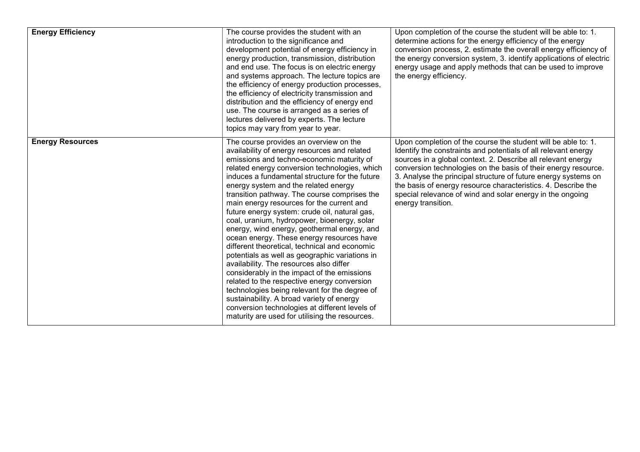| <b>Energy Efficiency</b> | The course provides the student with an<br>introduction to the significance and<br>development potential of energy efficiency in<br>energy production, transmission, distribution<br>and end use. The focus is on electric energy<br>and systems approach. The lecture topics are<br>the efficiency of energy production processes,<br>the efficiency of electricity transmission and<br>distribution and the efficiency of energy end<br>use. The course is arranged as a series of<br>lectures delivered by experts. The lecture<br>topics may vary from year to year.                                                                                                                                                                                                                                                                                                                                                                                                                                              | Upon completion of the course the student will be able to: 1.<br>determine actions for the energy efficiency of the energy<br>conversion process, 2. estimate the overall energy efficiency of<br>the energy conversion system, 3. identify applications of electric<br>energy usage and apply methods that can be used to improve<br>the energy efficiency.                                                                                                                            |
|--------------------------|-----------------------------------------------------------------------------------------------------------------------------------------------------------------------------------------------------------------------------------------------------------------------------------------------------------------------------------------------------------------------------------------------------------------------------------------------------------------------------------------------------------------------------------------------------------------------------------------------------------------------------------------------------------------------------------------------------------------------------------------------------------------------------------------------------------------------------------------------------------------------------------------------------------------------------------------------------------------------------------------------------------------------|-----------------------------------------------------------------------------------------------------------------------------------------------------------------------------------------------------------------------------------------------------------------------------------------------------------------------------------------------------------------------------------------------------------------------------------------------------------------------------------------|
| <b>Energy Resources</b>  | The course provides an overview on the<br>availability of energy resources and related<br>emissions and techno-economic maturity of<br>related energy conversion technologies, which<br>induces a fundamental structure for the future<br>energy system and the related energy<br>transition pathway. The course comprises the<br>main energy resources for the current and<br>future energy system: crude oil, natural gas,<br>coal, uranium, hydropower, bioenergy, solar<br>energy, wind energy, geothermal energy, and<br>ocean energy. These energy resources have<br>different theoretical, technical and economic<br>potentials as well as geographic variations in<br>availability. The resources also differ<br>considerably in the impact of the emissions<br>related to the respective energy conversion<br>technologies being relevant for the degree of<br>sustainability. A broad variety of energy<br>conversion technologies at different levels of<br>maturity are used for utilising the resources. | Upon completion of the course the student will be able to: 1.<br>Identify the constraints and potentials of all relevant energy<br>sources in a global context. 2. Describe all relevant energy<br>conversion technologies on the basis of their energy resource.<br>3. Analyse the principal structure of future energy systems on<br>the basis of energy resource characteristics. 4. Describe the<br>special relevance of wind and solar energy in the ongoing<br>energy transition. |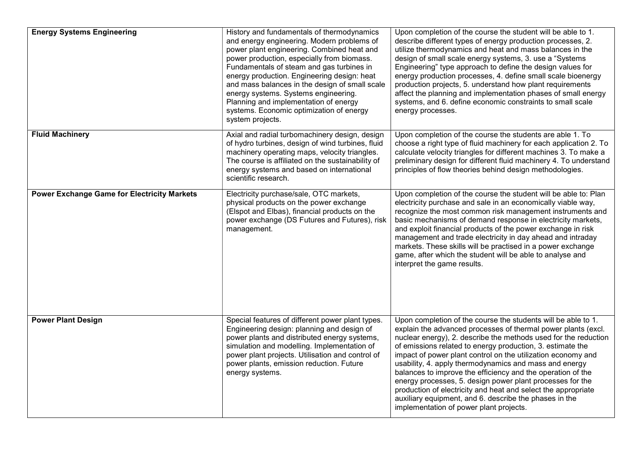| <b>Energy Systems Engineering</b>                  | History and fundamentals of thermodynamics<br>and energy engineering. Modern problems of<br>power plant engineering. Combined heat and<br>power production, especially from biomass.<br>Fundamentals of steam and gas turbines in<br>energy production. Engineering design: heat<br>and mass balances in the design of small scale<br>energy systems. Systems engineering.<br>Planning and implementation of energy<br>systems. Economic optimization of energy<br>system projects. | Upon completion of the course the student will be able to 1.<br>describe different types of energy production processes, 2.<br>utilize thermodynamics and heat and mass balances in the<br>design of small scale energy systems, 3. use a "Systems<br>Engineering" type approach to define the design values for<br>energy production processes, 4. define small scale bioenergy<br>production projects, 5. understand how plant requirements<br>affect the planning and implementation phases of small energy<br>systems, and 6. define economic constraints to small scale<br>energy processes.                                                                                           |
|----------------------------------------------------|-------------------------------------------------------------------------------------------------------------------------------------------------------------------------------------------------------------------------------------------------------------------------------------------------------------------------------------------------------------------------------------------------------------------------------------------------------------------------------------|---------------------------------------------------------------------------------------------------------------------------------------------------------------------------------------------------------------------------------------------------------------------------------------------------------------------------------------------------------------------------------------------------------------------------------------------------------------------------------------------------------------------------------------------------------------------------------------------------------------------------------------------------------------------------------------------|
| <b>Fluid Machinery</b>                             | Axial and radial turbomachinery design, design<br>of hydro turbines, design of wind turbines, fluid<br>machinery operating maps, velocity triangles.<br>The course is affiliated on the sustainability of<br>energy systems and based on international<br>scientific research.                                                                                                                                                                                                      | Upon completion of the course the students are able 1. To<br>choose a right type of fluid machinery for each application 2. To<br>calculate velocity triangles for different machines 3. To make a<br>preliminary design for different fluid machinery 4. To understand<br>principles of flow theories behind design methodologies.                                                                                                                                                                                                                                                                                                                                                         |
| <b>Power Exchange Game for Electricity Markets</b> | Electricity purchase/sale, OTC markets,<br>physical products on the power exchange<br>(Elspot and Elbas), financial products on the<br>power exchange (DS Futures and Futures), risk<br>management.                                                                                                                                                                                                                                                                                 | Upon completion of the course the student will be able to: Plan<br>electricity purchase and sale in an economically viable way,<br>recognize the most common risk management instruments and<br>basic mechanisms of demand response in electricity markets,<br>and exploit financial products of the power exchange in risk<br>management and trade electricity in day ahead and intraday<br>markets. These skills will be practised in a power exchange<br>game, after which the student will be able to analyse and<br>interpret the game results.                                                                                                                                        |
| <b>Power Plant Design</b>                          | Special features of different power plant types.<br>Engineering design: planning and design of<br>power plants and distributed energy systems,<br>simulation and modelling. Implementation of<br>power plant projects. Utilisation and control of<br>power plants, emission reduction. Future<br>energy systems.                                                                                                                                                                    | Upon completion of the course the students will be able to 1.<br>explain the advanced processes of thermal power plants (excl.<br>nuclear energy), 2. describe the methods used for the reduction<br>of emissions related to energy production, 3. estimate the<br>impact of power plant control on the utilization economy and<br>usability, 4. apply thermodynamics and mass and energy<br>balances to improve the efficiency and the operation of the<br>energy processes, 5. design power plant processes for the<br>production of electricity and heat and select the appropriate<br>auxiliary equipment, and 6. describe the phases in the<br>implementation of power plant projects. |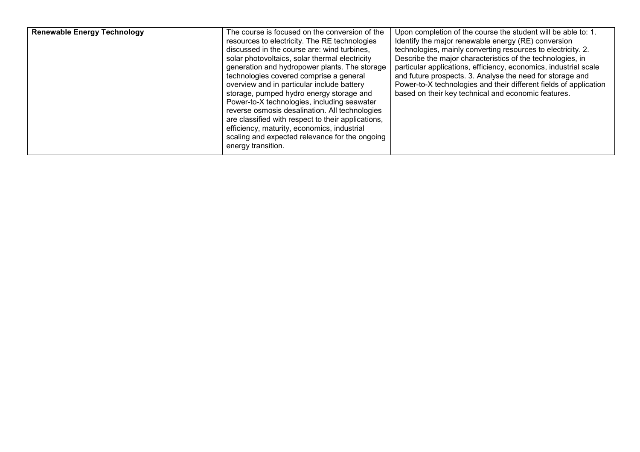| <b>Renewable Energy Technology</b> | The course is focused on the conversion of the<br>resources to electricity. The RE technologies<br>discussed in the course are: wind turbines,<br>solar photovoltaics, solar thermal electricity<br>generation and hydropower plants. The storage<br>technologies covered comprise a general<br>overview and in particular include battery<br>storage, pumped hydro energy storage and<br>Power-to-X technologies, including seawater<br>reverse osmosis desalination. All technologies<br>are classified with respect to their applications,<br>efficiency, maturity, economics, industrial<br>scaling and expected relevance for the ongoing<br>energy transition. | Upon completion of the course the student will be able to: 1.<br>Identify the major renewable energy (RE) conversion<br>technologies, mainly converting resources to electricity. 2.<br>Describe the major characteristics of the technologies, in<br>particular applications, efficiency, economics, industrial scale<br>and future prospects. 3. Analyse the need for storage and<br>Power-to-X technologies and their different fields of application<br>based on their key technical and economic features. |
|------------------------------------|----------------------------------------------------------------------------------------------------------------------------------------------------------------------------------------------------------------------------------------------------------------------------------------------------------------------------------------------------------------------------------------------------------------------------------------------------------------------------------------------------------------------------------------------------------------------------------------------------------------------------------------------------------------------|-----------------------------------------------------------------------------------------------------------------------------------------------------------------------------------------------------------------------------------------------------------------------------------------------------------------------------------------------------------------------------------------------------------------------------------------------------------------------------------------------------------------|
|------------------------------------|----------------------------------------------------------------------------------------------------------------------------------------------------------------------------------------------------------------------------------------------------------------------------------------------------------------------------------------------------------------------------------------------------------------------------------------------------------------------------------------------------------------------------------------------------------------------------------------------------------------------------------------------------------------------|-----------------------------------------------------------------------------------------------------------------------------------------------------------------------------------------------------------------------------------------------------------------------------------------------------------------------------------------------------------------------------------------------------------------------------------------------------------------------------------------------------------------|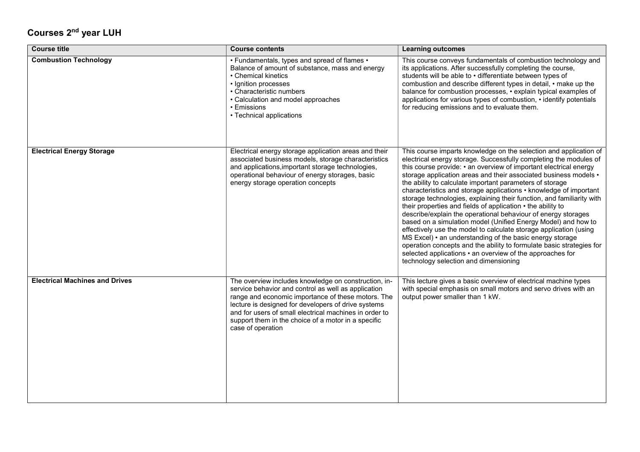## Courses 2nd year LUH

| <b>Course title</b>                   | <b>Course contents</b>                                                                                                                                                                                                                                                                                                                                         | <b>Learning outcomes</b>                                                                                                                                                                                                                                                                                                                                                                                                                                                                                                                                                                                                                                                                                                                                                                                                                                                                                                                                                                                  |
|---------------------------------------|----------------------------------------------------------------------------------------------------------------------------------------------------------------------------------------------------------------------------------------------------------------------------------------------------------------------------------------------------------------|-----------------------------------------------------------------------------------------------------------------------------------------------------------------------------------------------------------------------------------------------------------------------------------------------------------------------------------------------------------------------------------------------------------------------------------------------------------------------------------------------------------------------------------------------------------------------------------------------------------------------------------------------------------------------------------------------------------------------------------------------------------------------------------------------------------------------------------------------------------------------------------------------------------------------------------------------------------------------------------------------------------|
| <b>Combustion Technology</b>          | • Fundamentals, types and spread of flames •<br>Balance of amount of substance, mass and energy<br>• Chemical kinetics<br>• Ignition processes<br>• Characteristic numbers<br>• Calculation and model approaches<br>• Emissions<br>• Technical applications                                                                                                    | This course conveys fundamentals of combustion technology and<br>its applications. After successfully completing the course,<br>students will be able to • differentiate between types of<br>combustion and describe different types in detail, • make up the<br>balance for combustion processes, • explain typical examples of<br>applications for various types of combustion, • identify potentials<br>for reducing emissions and to evaluate them.                                                                                                                                                                                                                                                                                                                                                                                                                                                                                                                                                   |
| <b>Electrical Energy Storage</b>      | Electrical energy storage application areas and their<br>associated business models, storage characteristics<br>and applications, important storage technologies,<br>operational behaviour of energy storages, basic<br>energy storage operation concepts                                                                                                      | This course imparts knowledge on the selection and application of<br>electrical energy storage. Successfully completing the modules of<br>this course provide: • an overview of important electrical energy<br>storage application areas and their associated business models •<br>the ability to calculate important parameters of storage<br>characteristics and storage applications • knowledge of important<br>storage technologies, explaining their function, and familiarity with<br>their properties and fields of application • the ability to<br>describe/explain the operational behaviour of energy storages<br>based on a simulation model (Unified Energy Model) and how to<br>effectively use the model to calculate storage application (using<br>MS Excel) • an understanding of the basic energy storage<br>operation concepts and the ability to formulate basic strategies for<br>selected applications • an overview of the approaches for<br>technology selection and dimensioning |
| <b>Electrical Machines and Drives</b> | The overview includes knowledge on construction, in-<br>service behavior and control as well as application<br>range and economic importance of these motors. The<br>lecture is designed for developers of drive systems<br>and for users of small electrical machines in order to<br>support them in the choice of a motor in a specific<br>case of operation | This lecture gives a basic overview of electrical machine types<br>with special emphasis on small motors and servo drives with an<br>output power smaller than 1 kW.                                                                                                                                                                                                                                                                                                                                                                                                                                                                                                                                                                                                                                                                                                                                                                                                                                      |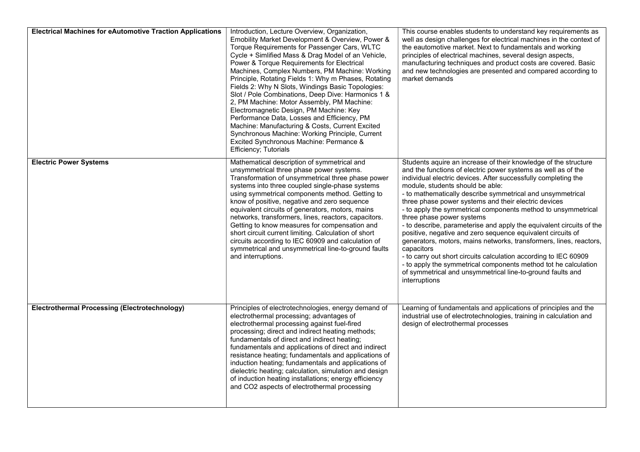| <b>Electrical Machines for eAutomotive Traction Applications</b> | Introduction, Lecture Overview, Organization,<br>Emobility Market Development & Overview, Power &<br>Torque Requirements for Passenger Cars, WLTC<br>Cycle + Simlified Mass & Drag Model of an Vehicle,<br>Power & Torque Requirements for Electrical<br>Machines, Complex Numbers, PM Machine: Working<br>Principle, Rotating Fields 1: Why m Phases, Rotating<br>Fields 2: Why N Slots, Windings Basic Topologies:<br>Slot / Pole Combinations, Deep Dive: Harmonics 1 &<br>2, PM Machine: Motor Assembly, PM Machine:<br>Electromagnetic Design, PM Machine: Key<br>Performance Data, Losses and Efficiency, PM<br>Machine: Manufacturing & Costs, Current Excited<br>Synchronous Machine: Working Principle, Current<br>Excited Synchronous Machine: Permance &<br>Efficiency; Tutorials | This course enables students to understand key requirements as<br>well as design challenges for electrical machines in the context of<br>the eautomotive market. Next to fundamentals and working<br>principles of electrical machines, several design aspects,<br>manufacturing techniques and product costs are covered. Basic<br>and new technologies are presented and compared according to<br>market demands                                                                                                                                                                                                                                                                                                                                                                                                                                                                                          |
|------------------------------------------------------------------|----------------------------------------------------------------------------------------------------------------------------------------------------------------------------------------------------------------------------------------------------------------------------------------------------------------------------------------------------------------------------------------------------------------------------------------------------------------------------------------------------------------------------------------------------------------------------------------------------------------------------------------------------------------------------------------------------------------------------------------------------------------------------------------------|-------------------------------------------------------------------------------------------------------------------------------------------------------------------------------------------------------------------------------------------------------------------------------------------------------------------------------------------------------------------------------------------------------------------------------------------------------------------------------------------------------------------------------------------------------------------------------------------------------------------------------------------------------------------------------------------------------------------------------------------------------------------------------------------------------------------------------------------------------------------------------------------------------------|
| <b>Electric Power Systems</b>                                    | Mathematical description of symmetrical and<br>unsymmetrical three phase power systems.<br>Transformation of unsymmetrical three phase power<br>systems into three coupled single-phase systems<br>using symmetrical components method. Getting to<br>know of positive, negative and zero sequence<br>equivalent circuits of generators, motors, mains<br>networks, transformers, lines, reactors, capacitors.<br>Getting to know measures for compensation and<br>short circuit current limiting. Calculation of short<br>circuits according to IEC 60909 and calculation of<br>symmetrical and unsymmetrical line-to-ground faults<br>and interruptions.                                                                                                                                   | Students aquire an increase of their knowledge of the structure<br>and the functions of electric power systems as well as of the<br>individual electric devices. After successfully completing the<br>module, students should be able:<br>- to mathematically describe symmetrical and unsymmetrical<br>three phase power systems and their electric devices<br>- to apply the symmetrical components method to unsymmetrical<br>three phase power systems<br>- to describe, parameterise and apply the equivalent circuits of the<br>positive, negative and zero sequence equivalent circuits of<br>generators, motors, mains networks, transformers, lines, reactors,<br>capacitors<br>- to carry out short circuits calculation according to IEC 60909<br>- to apply the symmetrical components method tot he calculation<br>of symmetrical and unsymmetrical line-to-ground faults and<br>interruptions |
| <b>Electrothermal Processing (Electrotechnology)</b>             | Principles of electrotechnologies, energy demand of<br>electrothermal processing; advantages of<br>electrothermal processing against fuel-fired<br>processing; direct and indirect heating methods;<br>fundamentals of direct and indirect heating;<br>fundamentals and applications of direct and indirect<br>resistance heating; fundamentals and applications of<br>induction heating; fundamentals and applications of<br>dielectric heating; calculation, simulation and design<br>of induction heating installations; energy efficiency<br>and CO2 aspects of electrothermal processing                                                                                                                                                                                                | Learning of fundamentals and applications of principles and the<br>industrial use of electrotechnologies, training in calculation and<br>design of electrothermal processes                                                                                                                                                                                                                                                                                                                                                                                                                                                                                                                                                                                                                                                                                                                                 |